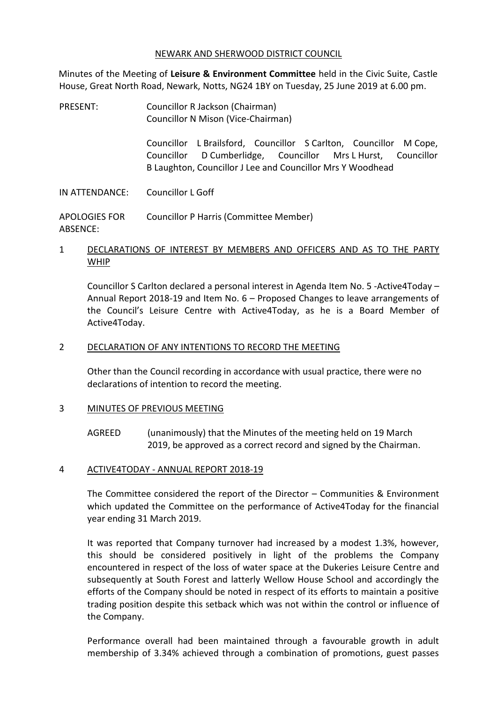#### NEWARK AND SHERWOOD DISTRICT COUNCIL

Minutes of the Meeting of **Leisure & Environment Committee** held in the Civic Suite, Castle House, Great North Road, Newark, Notts, NG24 1BY on Tuesday, 25 June 2019 at 6.00 pm.

PRESENT: Councillor R Jackson (Chairman) Councillor N Mison (Vice-Chairman)

> Councillor L Brailsford, Councillor S Carlton, Councillor M Cope, Councillor D Cumberlidge, Councillor Mrs L Hurst, Councillor B Laughton, Councillor J Lee and Councillor Mrs Y Woodhead

IN ATTENDANCE: Councillor L Goff

APOLOGIES FOR ABSENCE: Councillor P Harris (Committee Member)

### 1 DECLARATIONS OF INTEREST BY MEMBERS AND OFFICERS AND AS TO THE PARTY WHIP

Councillor S Carlton declared a personal interest in Agenda Item No. 5 -Active4Today – Annual Report 2018-19 and Item No. 6 – Proposed Changes to leave arrangements of the Council's Leisure Centre with Active4Today, as he is a Board Member of Active4Today.

### 2 DECLARATION OF ANY INTENTIONS TO RECORD THE MEETING

Other than the Council recording in accordance with usual practice, there were no declarations of intention to record the meeting.

### 3 MINUTES OF PREVIOUS MEETING

AGREED (unanimously) that the Minutes of the meeting held on 19 March 2019, be approved as a correct record and signed by the Chairman.

### 4 ACTIVE4TODAY - ANNUAL REPORT 2018-19

The Committee considered the report of the Director – Communities & Environment which updated the Committee on the performance of Active4Today for the financial year ending 31 March 2019.

It was reported that Company turnover had increased by a modest 1.3%, however, this should be considered positively in light of the problems the Company encountered in respect of the loss of water space at the Dukeries Leisure Centre and subsequently at South Forest and latterly Wellow House School and accordingly the efforts of the Company should be noted in respect of its efforts to maintain a positive trading position despite this setback which was not within the control or influence of the Company.

Performance overall had been maintained through a favourable growth in adult membership of 3.34% achieved through a combination of promotions, guest passes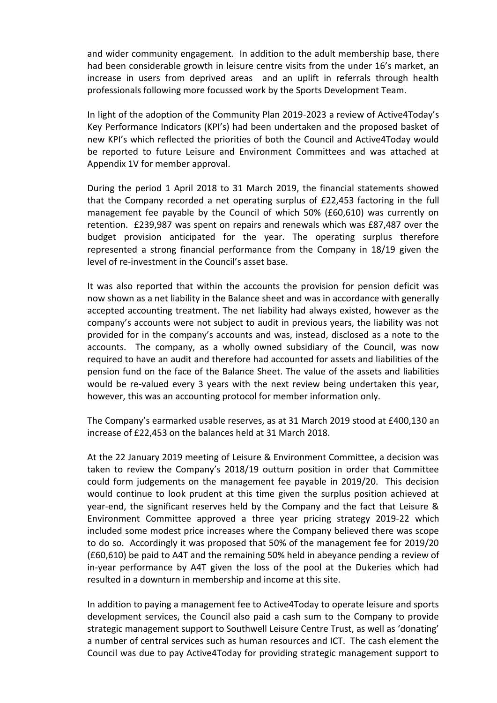and wider community engagement. In addition to the adult membership base, there had been considerable growth in leisure centre visits from the under 16's market, an increase in users from deprived areas and an uplift in referrals through health professionals following more focussed work by the Sports Development Team.

In light of the adoption of the Community Plan 2019-2023 a review of Active4Today's Key Performance Indicators (KPI's) had been undertaken and the proposed basket of new KPI's which reflected the priorities of both the Council and Active4Today would be reported to future Leisure and Environment Committees and was attached at Appendix 1V for member approval.

During the period 1 April 2018 to 31 March 2019, the financial statements showed that the Company recorded a net operating surplus of £22,453 factoring in the full management fee payable by the Council of which 50% (£60,610) was currently on retention. £239,987 was spent on repairs and renewals which was £87,487 over the budget provision anticipated for the year. The operating surplus therefore represented a strong financial performance from the Company in 18/19 given the level of re-investment in the Council's asset base.

It was also reported that within the accounts the provision for pension deficit was now shown as a net liability in the Balance sheet and was in accordance with generally accepted accounting treatment. The net liability had always existed, however as the company's accounts were not subject to audit in previous years, the liability was not provided for in the company's accounts and was, instead, disclosed as a note to the accounts. The company, as a wholly owned subsidiary of the Council, was now required to have an audit and therefore had accounted for assets and liabilities of the pension fund on the face of the Balance Sheet. The value of the assets and liabilities would be re-valued every 3 years with the next review being undertaken this year, however, this was an accounting protocol for member information only.

The Company's earmarked usable reserves, as at 31 March 2019 stood at £400,130 an increase of £22,453 on the balances held at 31 March 2018.

At the 22 January 2019 meeting of Leisure & Environment Committee, a decision was taken to review the Company's 2018/19 outturn position in order that Committee could form judgements on the management fee payable in 2019/20. This decision would continue to look prudent at this time given the surplus position achieved at year-end, the significant reserves held by the Company and the fact that Leisure & Environment Committee approved a three year pricing strategy 2019-22 which included some modest price increases where the Company believed there was scope to do so. Accordingly it was proposed that 50% of the management fee for 2019/20 (£60,610) be paid to A4T and the remaining 50% held in abeyance pending a review of in-year performance by A4T given the loss of the pool at the Dukeries which had resulted in a downturn in membership and income at this site.

In addition to paying a management fee to Active4Today to operate leisure and sports development services, the Council also paid a cash sum to the Company to provide strategic management support to Southwell Leisure Centre Trust, as well as 'donating' a number of central services such as human resources and ICT. The cash element the Council was due to pay Active4Today for providing strategic management support to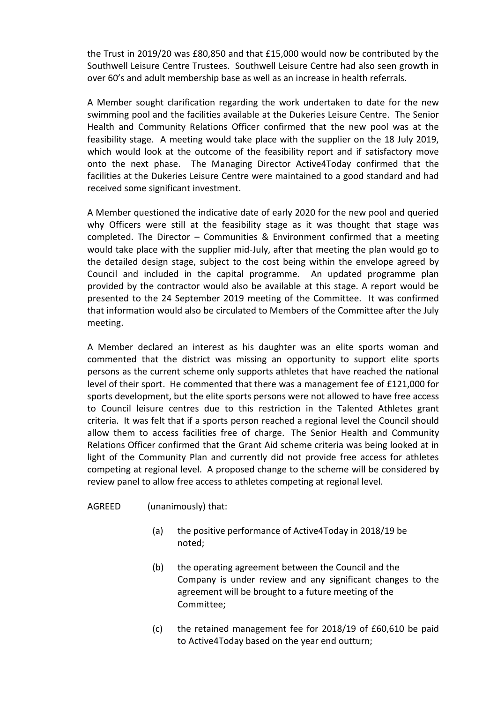the Trust in 2019/20 was £80,850 and that £15,000 would now be contributed by the Southwell Leisure Centre Trustees. Southwell Leisure Centre had also seen growth in over 60's and adult membership base as well as an increase in health referrals.

A Member sought clarification regarding the work undertaken to date for the new swimming pool and the facilities available at the Dukeries Leisure Centre. The Senior Health and Community Relations Officer confirmed that the new pool was at the feasibility stage. A meeting would take place with the supplier on the 18 July 2019, which would look at the outcome of the feasibility report and if satisfactory move onto the next phase. The Managing Director Active4Today confirmed that the facilities at the Dukeries Leisure Centre were maintained to a good standard and had received some significant investment.

A Member questioned the indicative date of early 2020 for the new pool and queried why Officers were still at the feasibility stage as it was thought that stage was completed. The Director – Communities & Environment confirmed that a meeting would take place with the supplier mid-July, after that meeting the plan would go to the detailed design stage, subject to the cost being within the envelope agreed by Council and included in the capital programme. An updated programme plan provided by the contractor would also be available at this stage. A report would be presented to the 24 September 2019 meeting of the Committee. It was confirmed that information would also be circulated to Members of the Committee after the July meeting.

A Member declared an interest as his daughter was an elite sports woman and commented that the district was missing an opportunity to support elite sports persons as the current scheme only supports athletes that have reached the national level of their sport. He commented that there was a management fee of £121,000 for sports development, but the elite sports persons were not allowed to have free access to Council leisure centres due to this restriction in the Talented Athletes grant criteria. It was felt that if a sports person reached a regional level the Council should allow them to access facilities free of charge. The Senior Health and Community Relations Officer confirmed that the Grant Aid scheme criteria was being looked at in light of the Community Plan and currently did not provide free access for athletes competing at regional level. A proposed change to the scheme will be considered by review panel to allow free access to athletes competing at regional level.

### AGREED (unanimously) that:

- (a) the positive performance of Active4Today in 2018/19 be noted;
- (b) the operating agreement between the Council and the Company is under review and any significant changes to the agreement will be brought to a future meeting of the Committee;
- (c) the retained management fee for 2018/19 of £60,610 be paid to Active4Today based on the year end outturn;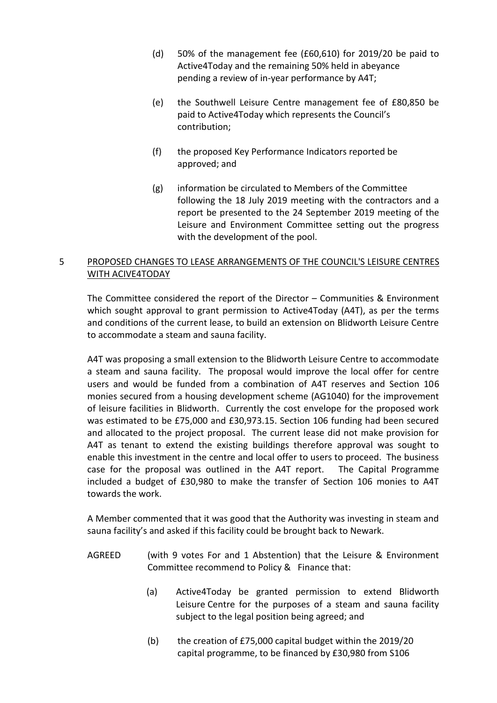- (d) 50% of the management fee (£60,610) for 2019/20 be paid to Active4Today and the remaining 50% held in abeyance pending a review of in-year performance by A4T;
- (e) the Southwell Leisure Centre management fee of £80,850 be paid to Active4Today which represents the Council's contribution;
- (f) the proposed Key Performance Indicators reported be approved; and
- (g) information be circulated to Members of the Committee following the 18 July 2019 meeting with the contractors and a report be presented to the 24 September 2019 meeting of the Leisure and Environment Committee setting out the progress with the development of the pool.

# 5 PROPOSED CHANGES TO LEASE ARRANGEMENTS OF THE COUNCIL'S LEISURE CENTRES WITH ACIVE4TODAY

The Committee considered the report of the Director – Communities & Environment which sought approval to grant permission to Active4Today (A4T), as per the terms and conditions of the current lease, to build an extension on Blidworth Leisure Centre to accommodate a steam and sauna facility.

A4T was proposing a small extension to the Blidworth Leisure Centre to accommodate a steam and sauna facility. The proposal would improve the local offer for centre users and would be funded from a combination of A4T reserves and Section 106 monies secured from a housing development scheme (AG1040) for the improvement of leisure facilities in Blidworth. Currently the cost envelope for the proposed work was estimated to be £75,000 and £30,973.15. Section 106 funding had been secured and allocated to the project proposal. The current lease did not make provision for A4T as tenant to extend the existing buildings therefore approval was sought to enable this investment in the centre and local offer to users to proceed. The business case for the proposal was outlined in the A4T report. The Capital Programme included a budget of £30,980 to make the transfer of Section 106 monies to A4T towards the work.

A Member commented that it was good that the Authority was investing in steam and sauna facility's and asked if this facility could be brought back to Newark.

- AGREED (with 9 votes For and 1 Abstention) that the Leisure & Environment Committee recommend to Policy & Finance that:
	- (a) Active4Today be granted permission to extend Blidworth Leisure Centre for the purposes of a steam and sauna facility subject to the legal position being agreed; and
	- (b) the creation of £75,000 capital budget within the 2019/20 capital programme, to be financed by £30,980 from S106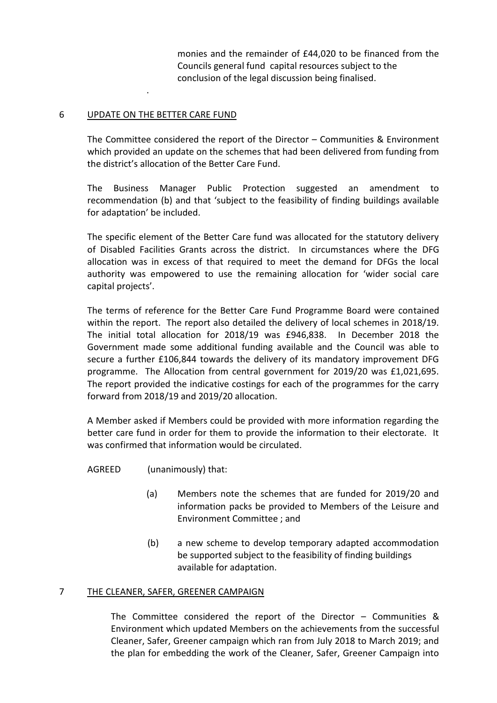monies and the remainder of £44,020 to be financed from the Councils general fund capital resources subject to the conclusion of the legal discussion being finalised.

### 6 UPDATE ON THE BETTER CARE FUND

.

The Committee considered the report of the Director – Communities & Environment which provided an update on the schemes that had been delivered from funding from the district's allocation of the Better Care Fund.

The Business Manager Public Protection suggested an amendment to recommendation (b) and that 'subject to the feasibility of finding buildings available for adaptation' be included.

The specific element of the Better Care fund was allocated for the statutory delivery of Disabled Facilities Grants across the district. In circumstances where the DFG allocation was in excess of that required to meet the demand for DFGs the local authority was empowered to use the remaining allocation for 'wider social care capital projects'.

The terms of reference for the Better Care Fund Programme Board were contained within the report. The report also detailed the delivery of local schemes in 2018/19. The initial total allocation for 2018/19 was £946,838. In December 2018 the Government made some additional funding available and the Council was able to secure a further £106,844 towards the delivery of its mandatory improvement DFG programme. The Allocation from central government for 2019/20 was £1,021,695. The report provided the indicative costings for each of the programmes for the carry forward from 2018/19 and 2019/20 allocation.

A Member asked if Members could be provided with more information regarding the better care fund in order for them to provide the information to their electorate. It was confirmed that information would be circulated.

AGREED (unanimously) that:

- (a) Members note the schemes that are funded for 2019/20 and information packs be provided to Members of the Leisure and Environment Committee ; and
- (b) a new scheme to develop temporary adapted accommodation be supported subject to the feasibility of finding buildings available for adaptation.

### 7 THE CLEANER, SAFER, GREENER CAMPAIGN

The Committee considered the report of the Director – Communities & Environment which updated Members on the achievements from the successful Cleaner, Safer, Greener campaign which ran from July 2018 to March 2019; and the plan for embedding the work of the Cleaner, Safer, Greener Campaign into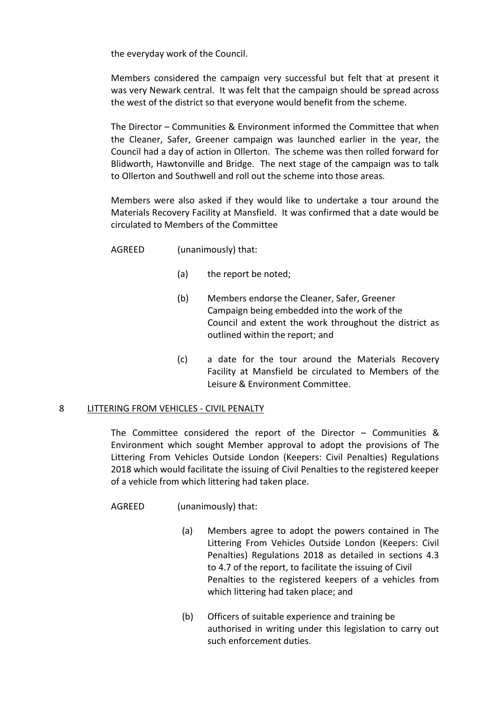the everyday work of the Council.

Members considered the campaign very successful but felt that at present it was very Newark central. It was felt that the campaign should be spread across the west of the district so that everyone would benefit from the scheme.

The Director – Communities & Environment informed the Committee that when the Cleaner, Safer, Greener campaign was launched earlier in the year, the Council had a day of action in Ollerton. The scheme was then rolled forward for Blidworth, Hawtonville and Bridge. The next stage of the campaign was to talk to Ollerton and Southwell and roll out the scheme into those areas.

Members were also asked if they would like to undertake a tour around the Materials Recovery Facility at Mansfield. It was confirmed that a date would be circulated to Members of the Committee

AGREED (unanimously) that:

- (a) the report be noted;
- (b) Members endorse the Cleaner, Safer, Greener Campaign being embedded into the work of the Council and extent the work throughout the district as outlined within the report; and
- (c) a date for the tour around the Materials Recovery Facility at Mansfield be circulated to Members of the Leisure & Environment Committee.

### 8 LITTERING FROM VEHICLES - CIVIL PENALTY

The Committee considered the report of the Director – Communities & Environment which sought Member approval to adopt the provisions of The Littering From Vehicles Outside London (Keepers: Civil Penalties) Regulations 2018 which would facilitate the issuing of Civil Penalties to the registered keeper of a vehicle from which littering had taken place.

AGREED (unanimously) that:

- (a) Members agree to adopt the powers contained in The Littering From Vehicles Outside London (Keepers: Civil Penalties) Regulations 2018 as detailed in sections 4.3 to 4.7 of the report, to facilitate the issuing of Civil Penalties to the registered keepers of a vehicles from which littering had taken place; and
- (b) Officers of suitable experience and training be authorised in writing under this legislation to carry out such enforcement duties.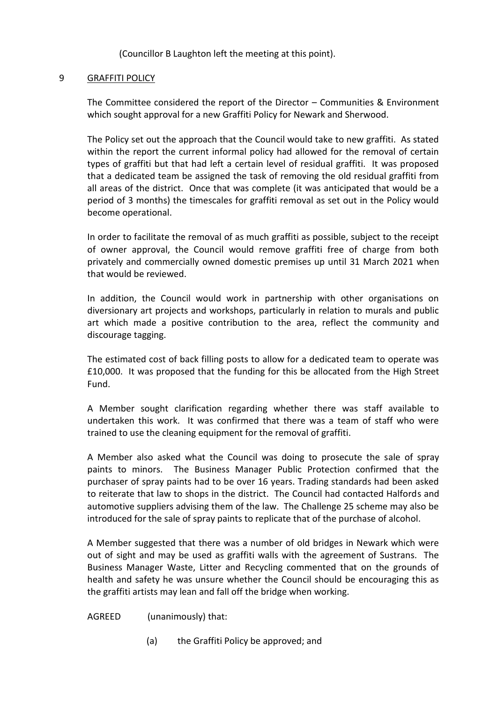(Councillor B Laughton left the meeting at this point).

### 9 GRAFFITI POLICY

The Committee considered the report of the Director – Communities & Environment which sought approval for a new Graffiti Policy for Newark and Sherwood.

The Policy set out the approach that the Council would take to new graffiti. As stated within the report the current informal policy had allowed for the removal of certain types of graffiti but that had left a certain level of residual graffiti. It was proposed that a dedicated team be assigned the task of removing the old residual graffiti from all areas of the district. Once that was complete (it was anticipated that would be a period of 3 months) the timescales for graffiti removal as set out in the Policy would become operational.

In order to facilitate the removal of as much graffiti as possible, subject to the receipt of owner approval, the Council would remove graffiti free of charge from both privately and commercially owned domestic premises up until 31 March 2021 when that would be reviewed.

In addition, the Council would work in partnership with other organisations on diversionary art projects and workshops, particularly in relation to murals and public art which made a positive contribution to the area, reflect the community and discourage tagging.

The estimated cost of back filling posts to allow for a dedicated team to operate was £10,000. It was proposed that the funding for this be allocated from the High Street Fund.

A Member sought clarification regarding whether there was staff available to undertaken this work. It was confirmed that there was a team of staff who were trained to use the cleaning equipment for the removal of graffiti.

A Member also asked what the Council was doing to prosecute the sale of spray paints to minors. The Business Manager Public Protection confirmed that the purchaser of spray paints had to be over 16 years. Trading standards had been asked to reiterate that law to shops in the district. The Council had contacted Halfords and automotive suppliers advising them of the law. The Challenge 25 scheme may also be introduced for the sale of spray paints to replicate that of the purchase of alcohol.

A Member suggested that there was a number of old bridges in Newark which were out of sight and may be used as graffiti walls with the agreement of Sustrans. The Business Manager Waste, Litter and Recycling commented that on the grounds of health and safety he was unsure whether the Council should be encouraging this as the graffiti artists may lean and fall off the bridge when working.

## AGREED (unanimously) that:

(a) the Graffiti Policy be approved; and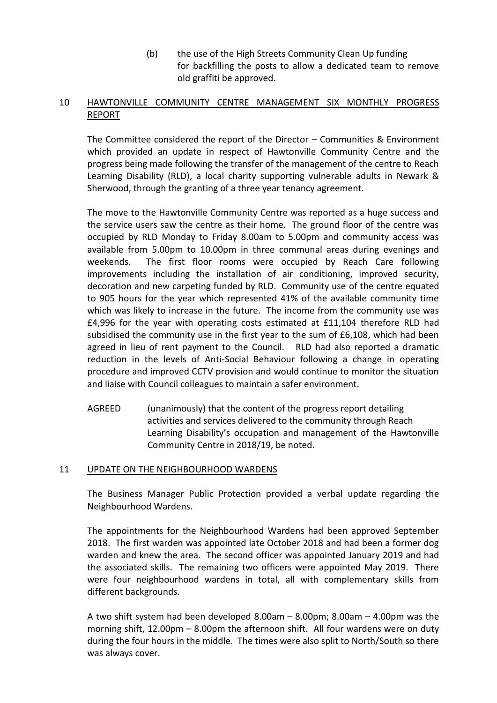(b) the use of the High Streets Community Clean Up funding for backfilling the posts to allow a dedicated team to remove old graffiti be approved.

## 10 HAWTONVILLE COMMUNITY CENTRE MANAGEMENT SIX MONTHLY PROGRESS REPORT

The Committee considered the report of the Director – Communities & Environment which provided an update in respect of Hawtonville Community Centre and the progress being made following the transfer of the management of the centre to Reach Learning Disability (RLD), a local charity supporting vulnerable adults in Newark & Sherwood, through the granting of a three year tenancy agreement.

The move to the Hawtonville Community Centre was reported as a huge success and the service users saw the centre as their home. The ground floor of the centre was occupied by RLD Monday to Friday 8.00am to 5.00pm and community access was available from 5.00pm to 10.00pm in three communal areas during evenings and weekends. The first floor rooms were occupied by Reach Care following improvements including the installation of air conditioning, improved security, decoration and new carpeting funded by RLD. Community use of the centre equated to 905 hours for the year which represented 41% of the available community time which was likely to increase in the future. The income from the community use was £4,996 for the year with operating costs estimated at £11,104 therefore RLD had subsidised the community use in the first year to the sum of £6,108, which had been agreed in lieu of rent payment to the Council. RLD had also reported a dramatic reduction in the levels of Anti-Social Behaviour following a change in operating procedure and improved CCTV provision and would continue to monitor the situation and liaise with Council colleagues to maintain a safer environment.

AGREED (unanimously) that the content of the progress report detailing activities and services delivered to the community through Reach Learning Disability's occupation and management of the Hawtonville Community Centre in 2018/19, be noted.

## 11 UPDATE ON THE NEIGHBOURHOOD WARDENS

The Business Manager Public Protection provided a verbal update regarding the Neighbourhood Wardens.

The appointments for the Neighbourhood Wardens had been approved September 2018. The first warden was appointed late October 2018 and had been a former dog warden and knew the area. The second officer was appointed January 2019 and had the associated skills. The remaining two officers were appointed May 2019. There were four neighbourhood wardens in total, all with complementary skills from different backgrounds.

A two shift system had been developed 8.00am – 8.00pm; 8.00am – 4.00pm was the morning shift, 12.00pm – 8.00pm the afternoon shift. All four wardens were on duty during the four hours in the middle. The times were also split to North/South so there was always cover.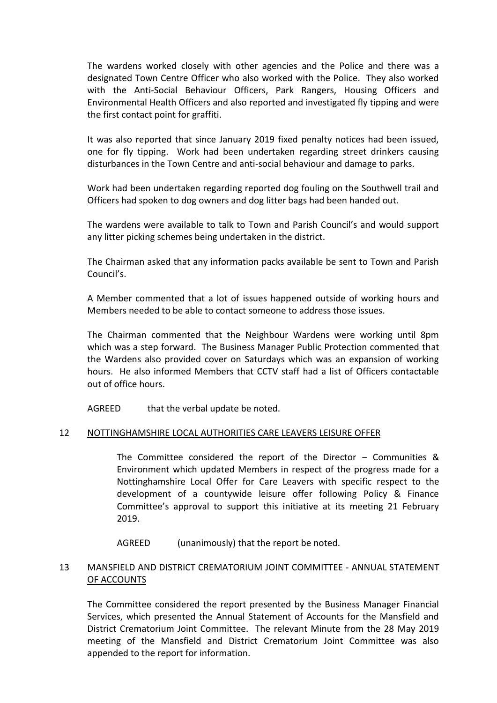The wardens worked closely with other agencies and the Police and there was a designated Town Centre Officer who also worked with the Police. They also worked with the Anti-Social Behaviour Officers, Park Rangers, Housing Officers and Environmental Health Officers and also reported and investigated fly tipping and were the first contact point for graffiti.

It was also reported that since January 2019 fixed penalty notices had been issued, one for fly tipping. Work had been undertaken regarding street drinkers causing disturbances in the Town Centre and anti-social behaviour and damage to parks.

Work had been undertaken regarding reported dog fouling on the Southwell trail and Officers had spoken to dog owners and dog litter bags had been handed out.

The wardens were available to talk to Town and Parish Council's and would support any litter picking schemes being undertaken in the district.

The Chairman asked that any information packs available be sent to Town and Parish Council's.

A Member commented that a lot of issues happened outside of working hours and Members needed to be able to contact someone to address those issues.

The Chairman commented that the Neighbour Wardens were working until 8pm which was a step forward. The Business Manager Public Protection commented that the Wardens also provided cover on Saturdays which was an expansion of working hours. He also informed Members that CCTV staff had a list of Officers contactable out of office hours.

AGREED that the verbal update be noted.

### 12 NOTTINGHAMSHIRE LOCAL AUTHORITIES CARE LEAVERS LEISURE OFFER

The Committee considered the report of the Director – Communities & Environment which updated Members in respect of the progress made for a Nottinghamshire Local Offer for Care Leavers with specific respect to the development of a countywide leisure offer following Policy & Finance Committee's approval to support this initiative at its meeting 21 February 2019.

AGREED (unanimously) that the report be noted.

### 13 MANSFIELD AND DISTRICT CREMATORIUM JOINT COMMITTEE - ANNUAL STATEMENT OF ACCOUNTS

The Committee considered the report presented by the Business Manager Financial Services, which presented the Annual Statement of Accounts for the Mansfield and District Crematorium Joint Committee. The relevant Minute from the 28 May 2019 meeting of the Mansfield and District Crematorium Joint Committee was also appended to the report for information.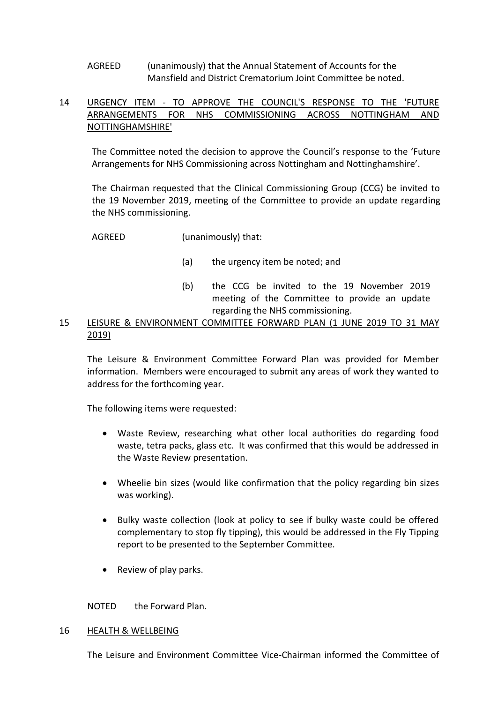## AGREED (unanimously) that the Annual Statement of Accounts for the Mansfield and District Crematorium Joint Committee be noted.

## 14 URGENCY ITEM - TO APPROVE THE COUNCIL'S RESPONSE TO THE 'FUTURE ARRANGEMENTS FOR NHS COMMISSIONING ACROSS NOTTINGHAM AND NOTTINGHAMSHIRE'

The Committee noted the decision to approve the Council's response to the 'Future Arrangements for NHS Commissioning across Nottingham and Nottinghamshire'.

The Chairman requested that the Clinical Commissioning Group (CCG) be invited to the 19 November 2019, meeting of the Committee to provide an update regarding the NHS commissioning.

AGREED (unanimously) that:

- (a) the urgency item be noted; and
- (b) the CCG be invited to the 19 November 2019 meeting of the Committee to provide an update regarding the NHS commissioning.
- 15 LEISURE & ENVIRONMENT COMMITTEE FORWARD PLAN (1 JUNE 2019 TO 31 MAY 2019)

The Leisure & Environment Committee Forward Plan was provided for Member information. Members were encouraged to submit any areas of work they wanted to address for the forthcoming year.

The following items were requested:

- Waste Review, researching what other local authorities do regarding food waste, tetra packs, glass etc. It was confirmed that this would be addressed in the Waste Review presentation.
- Wheelie bin sizes (would like confirmation that the policy regarding bin sizes was working).
- Bulky waste collection (look at policy to see if bulky waste could be offered complementary to stop fly tipping), this would be addressed in the Fly Tipping report to be presented to the September Committee.
- Review of play parks.

NOTED the Forward Plan.

#### 16 HEALTH & WELLBEING

The Leisure and Environment Committee Vice-Chairman informed the Committee of